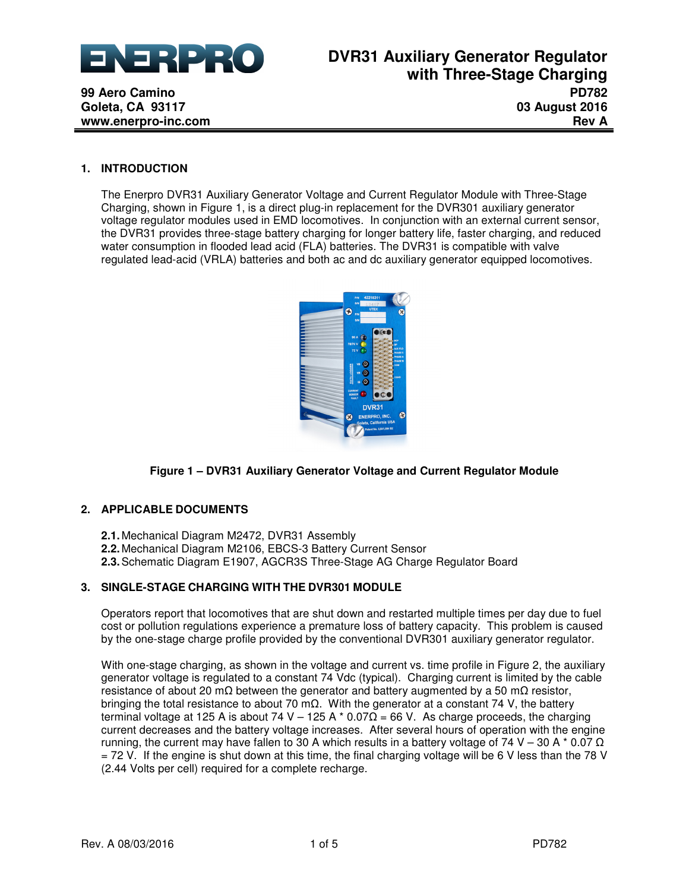

## **1. INTRODUCTION**

**99 Aero Camino Goleta, CA 93117 www.enerpro-inc.com**

> The Enerpro DVR31 Auxiliary Generator Voltage and Current Regulator Module with Three-Stage Charging, shown in Figure 1, is a direct plug-in replacement for the DVR301 auxiliary generator voltage regulator modules used in EMD locomotives. In conjunction with an external current sensor, the DVR31 provides three-stage battery charging for longer battery life, faster charging, and reduced water consumption in flooded lead acid (FLA) batteries. The DVR31 is compatible with valve regulated lead-acid (VRLA) batteries and both ac and dc auxiliary generator equipped locomotives.



# **Figure 1 – DVR31 Auxiliary Generator Voltage and Current Regulator Module**

## **2. APPLICABLE DOCUMENTS**

**2.1.** Mechanical Diagram M2472, DVR31 Assembly **2.2.** Mechanical Diagram M2106, EBCS-3 Battery Current Sensor **2.3.** Schematic Diagram E1907, AGCR3S Three-Stage AG Charge Regulator Board

## **3. SINGLE-STAGE CHARGING WITH THE DVR301 MODULE**

Operators report that locomotives that are shut down and restarted multiple times per day due to fuel cost or pollution regulations experience a premature loss of battery capacity. This problem is caused by the one-stage charge profile provided by the conventional DVR301 auxiliary generator regulator.

With one-stage charging, as shown in the voltage and current vs. time profile in Figure 2, the auxiliary generator voltage is regulated to a constant 74 Vdc (typical). Charging current is limited by the cable resistance of about 20 mΩ between the generator and battery augmented by a 50 mΩ resistor, bringing the total resistance to about 70 mΩ. With the generator at a constant 74 V, the battery terminal voltage at 125 A is about 74 V – 125 A  $*$  0.07Ω = 66 V. As charge proceeds, the charging current decreases and the battery voltage increases. After several hours of operation with the engine running, the current may have fallen to 30 A which results in a battery voltage of 74 V – 30 A  $*$  0.07  $\Omega$ = 72 V. If the engine is shut down at this time, the final charging voltage will be 6 V less than the 78 V (2.44 Volts per cell) required for a complete recharge.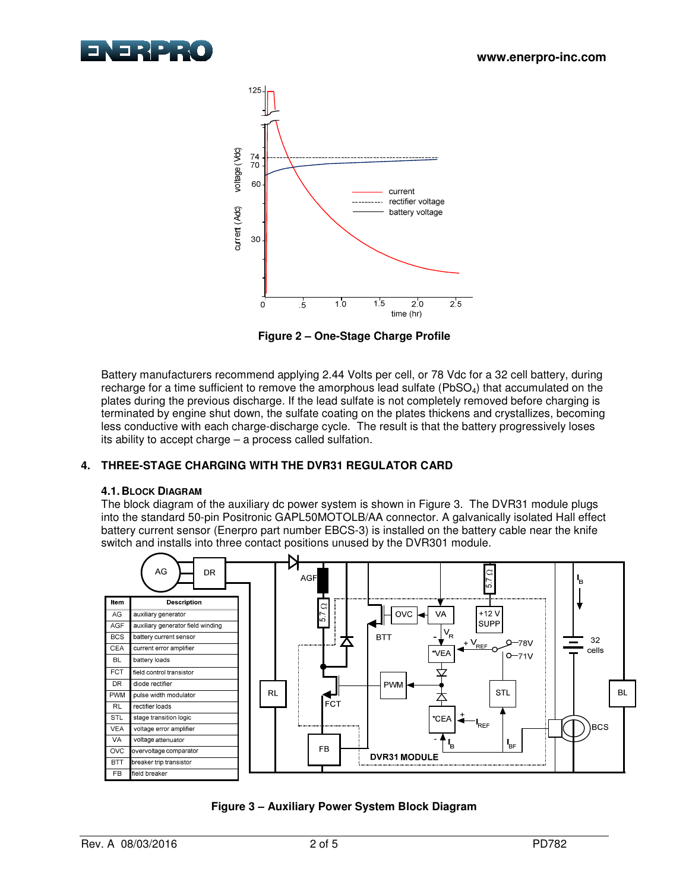



**Figure 2 – One-Stage Charge Profile** 

Battery manufacturers recommend applying 2.44 Volts per cell, or 78 Vdc for a 32 cell battery, during recharge for a time sufficient to remove the amorphous lead sulfate (PbSO<sub>4</sub>) that accumulated on the plates during the previous discharge. If the lead sulfate is not completely removed before charging is terminated by engine shut down, the sulfate coating on the plates thickens and crystallizes, becoming less conductive with each charge-discharge cycle. The result is that the battery progressively loses its ability to accept charge – a process called sulfation.

# **4. THREE-STAGE CHARGING WITH THE DVR31 REGULATOR CARD**

# **4.1. BLOCK DIAGRAM**

The block diagram of the auxiliary dc power system is shown in Figure 3. The DVR31 module plugs into the standard 50-pin Positronic GAPL50MOTOLB/AA connector. A galvanically isolated Hall effect battery current sensor (Enerpro part number EBCS-3) is installed on the battery cable near the knife switch and installs into three contact positions unused by the DVR301 module.



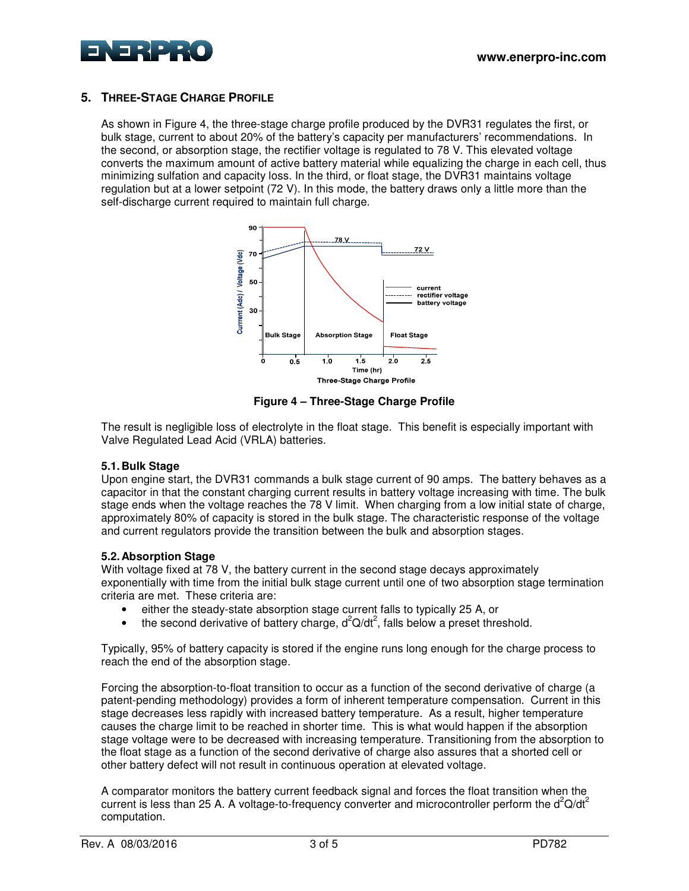



# **5. THREE-STAGE CHARGE PROFILE**

As shown in Figure 4, the three-stage charge profile produced by the DVR31 regulates the first, or bulk stage, current to about 20% of the battery's capacity per manufacturers' recommendations. In the second, or absorption stage, the rectifier voltage is regulated to 78 V. This elevated voltage converts the maximum amount of active battery material while equalizing the charge in each cell, thus minimizing sulfation and capacity loss. In the third, or float stage, the DVR31 maintains voltage regulation but at a lower setpoint (72 V). In this mode, the battery draws only a little more than the self-discharge current required to maintain full charge.



**Figure 4 – Three-Stage Charge Profile** 

The result is negligible loss of electrolyte in the float stage. This benefit is especially important with Valve Regulated Lead Acid (VRLA) batteries.

## **5.1. Bulk Stage**

Upon engine start, the DVR31 commands a bulk stage current of 90 amps. The battery behaves as a capacitor in that the constant charging current results in battery voltage increasing with time. The bulk stage ends when the voltage reaches the 78 V limit. When charging from a low initial state of charge, approximately 80% of capacity is stored in the bulk stage. The characteristic response of the voltage and current regulators provide the transition between the bulk and absorption stages.

# **5.2. Absorption Stage**

With voltage fixed at 78 V, the battery current in the second stage decays approximately exponentially with time from the initial bulk stage current until one of two absorption stage termination criteria are met. These criteria are:

- either the steady-state absorption stage current falls to typically 25 A, or
- the second derivative of battery charge,  $d^2Q/dt^2$ , falls below a preset threshold.

Typically, 95% of battery capacity is stored if the engine runs long enough for the charge process to reach the end of the absorption stage.

Forcing the absorption-to-float transition to occur as a function of the second derivative of charge (a patent-pending methodology) provides a form of inherent temperature compensation. Current in this stage decreases less rapidly with increased battery temperature. As a result, higher temperature causes the charge limit to be reached in shorter time. This is what would happen if the absorption stage voltage were to be decreased with increasing temperature. Transitioning from the absorption to the float stage as a function of the second derivative of charge also assures that a shorted cell or other battery defect will not result in continuous operation at elevated voltage.

A comparator monitors the battery current feedback signal and forces the float transition when the current is less than 25 A. A voltage-to-frequency converter and microcontroller perform the  $d^2Q/dt^2$ computation.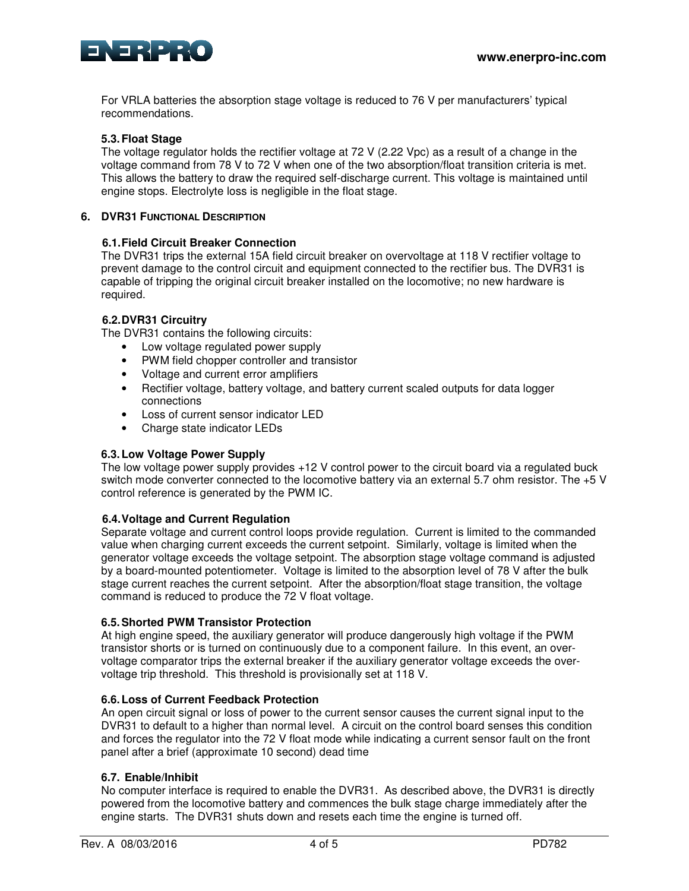

For VRLA batteries the absorption stage voltage is reduced to 76 V per manufacturers' typical recommendations.

# **5.3. Float Stage**

The voltage regulator holds the rectifier voltage at 72 V (2.22 Vpc) as a result of a change in the voltage command from 78 V to 72 V when one of the two absorption/float transition criteria is met. This allows the battery to draw the required self-discharge current. This voltage is maintained until engine stops. Electrolyte loss is negligible in the float stage.

## **6. DVR31 FUNCTIONAL DESCRIPTION**

## **6.1. Field Circuit Breaker Connection**

The DVR31 trips the external 15A field circuit breaker on overvoltage at 118 V rectifier voltage to prevent damage to the control circuit and equipment connected to the rectifier bus. The DVR31 is capable of tripping the original circuit breaker installed on the locomotive; no new hardware is required.

## **6.2. DVR31 Circuitry**

The DVR31 contains the following circuits:

- Low voltage regulated power supply
- PWM field chopper controller and transistor
- Voltage and current error amplifiers
- Rectifier voltage, battery voltage, and battery current scaled outputs for data logger connections
- Loss of current sensor indicator LED
- Charge state indicator LEDs

## **6.3. Low Voltage Power Supply**

The low voltage power supply provides +12 V control power to the circuit board via a regulated buck switch mode converter connected to the locomotive battery via an external 5.7 ohm resistor. The +5 V control reference is generated by the PWM IC.

## **6.4. Voltage and Current Regulation**

Separate voltage and current control loops provide regulation. Current is limited to the commanded value when charging current exceeds the current setpoint. Similarly, voltage is limited when the generator voltage exceeds the voltage setpoint. The absorption stage voltage command is adjusted by a board-mounted potentiometer. Voltage is limited to the absorption level of 78 V after the bulk stage current reaches the current setpoint. After the absorption/float stage transition, the voltage command is reduced to produce the 72 V float voltage.

## **6.5. Shorted PWM Transistor Protection**

At high engine speed, the auxiliary generator will produce dangerously high voltage if the PWM transistor shorts or is turned on continuously due to a component failure. In this event, an overvoltage comparator trips the external breaker if the auxiliary generator voltage exceeds the overvoltage trip threshold. This threshold is provisionally set at 118 V.

## **6.6. Loss of Current Feedback Protection**

An open circuit signal or loss of power to the current sensor causes the current signal input to the DVR31 to default to a higher than normal level. A circuit on the control board senses this condition and forces the regulator into the 72 V float mode while indicating a current sensor fault on the front panel after a brief (approximate 10 second) dead time

# **6.7. Enable/Inhibit**

No computer interface is required to enable the DVR31. As described above, the DVR31 is directly powered from the locomotive battery and commences the bulk stage charge immediately after the engine starts. The DVR31 shuts down and resets each time the engine is turned off.